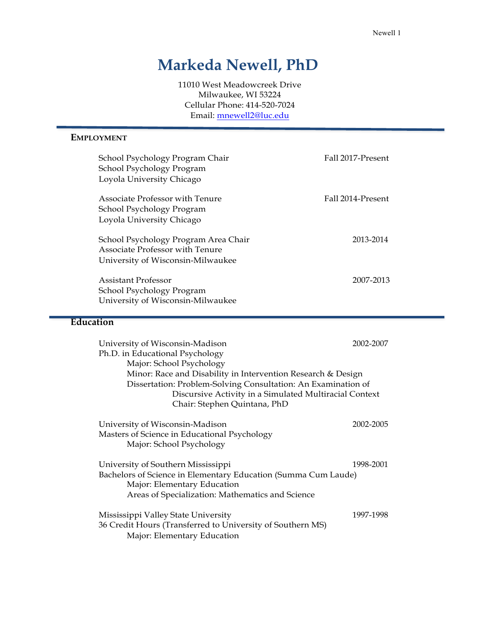# **Markeda Newell, PhD**

11010 West Meadowcreek Drive Milwaukee, WI 53224 Cellular Phone: 414-520-7024 Email: [mnewell2@luc.edu](mailto:mnewell2@luc.edu)

## **EMPLOYMENT**

| School Psychology Program Chair<br>School Psychology Program<br>Loyola University Chicago                    | Fall 2017-Present |
|--------------------------------------------------------------------------------------------------------------|-------------------|
| <b>Associate Professor with Tenure</b><br>School Psychology Program<br>Loyola University Chicago             | Fall 2014-Present |
| School Psychology Program Area Chair<br>Associate Professor with Tenure<br>University of Wisconsin-Milwaukee | 2013-2014         |
| Assistant Professor<br>School Psychology Program<br>University of Wisconsin-Milwaukee                        | 2007-2013         |

## **Education**

| University of Wisconsin-Madison<br>Ph.D. in Educational Psychology<br>Major: School Psychology<br>Minor: Race and Disability in Intervention Research & Design<br>Dissertation: Problem-Solving Consultation: An Examination of<br>Discursive Activity in a Simulated Multiracial Context<br>Chair: Stephen Quintana, PhD | 2002-2007 |
|---------------------------------------------------------------------------------------------------------------------------------------------------------------------------------------------------------------------------------------------------------------------------------------------------------------------------|-----------|
| University of Wisconsin-Madison<br>Masters of Science in Educational Psychology<br>Major: School Psychology                                                                                                                                                                                                               | 2002-2005 |
| University of Southern Mississippi<br>Bachelors of Science in Elementary Education (Summa Cum Laude)<br>Major: Elementary Education<br>Areas of Specialization: Mathematics and Science                                                                                                                                   | 1998-2001 |
| Mississippi Valley State University<br>36 Credit Hours (Transferred to University of Southern MS)<br>Major: Elementary Education                                                                                                                                                                                          | 1997-1998 |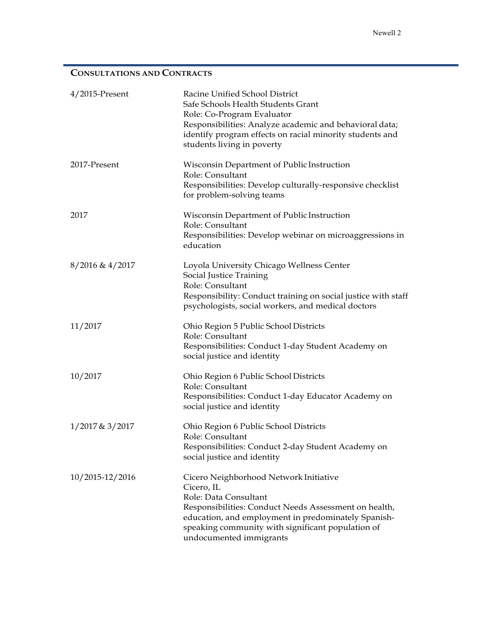# **CONSULTATIONS AND CONTRACTS**

| $4/2015$ -Present  | Racine Unified School District<br>Safe Schools Health Students Grant<br>Role: Co-Program Evaluator<br>Responsibilities: Analyze academic and behavioral data;<br>identify program effects on racial minority students and<br>students living in poverty                       |
|--------------------|-------------------------------------------------------------------------------------------------------------------------------------------------------------------------------------------------------------------------------------------------------------------------------|
| 2017-Present       | Wisconsin Department of Public Instruction<br>Role: Consultant<br>Responsibilities: Develop culturally-responsive checklist<br>for problem-solving teams                                                                                                                      |
| 2017               | Wisconsin Department of Public Instruction<br>Role: Consultant<br>Responsibilities: Develop webinar on microaggressions in<br>education                                                                                                                                       |
| $8/2016 \& 4/2017$ | Loyola University Chicago Wellness Center<br>Social Justice Training<br>Role: Consultant<br>Responsibility: Conduct training on social justice with staff<br>psychologists, social workers, and medical doctors                                                               |
| 11/2017            | Ohio Region 5 Public School Districts<br>Role: Consultant<br>Responsibilities: Conduct 1-day Student Academy on<br>social justice and identity                                                                                                                                |
| 10/2017            | Ohio Region 6 Public School Districts<br>Role: Consultant<br>Responsibilities: Conduct 1-day Educator Academy on<br>social justice and identity                                                                                                                               |
| 1/2017 & 3/2017    | Ohio Region 6 Public School Districts<br>Role: Consultant<br>Responsibilities: Conduct 2-day Student Academy on<br>social justice and identity                                                                                                                                |
| 10/2015-12/2016    | Cicero Neighborhood Network Initiative<br>Cicero, IL<br>Role: Data Consultant<br>Responsibilities: Conduct Needs Assessment on health,<br>education, and employment in predominately Spanish-<br>speaking community with significant population of<br>undocumented immigrants |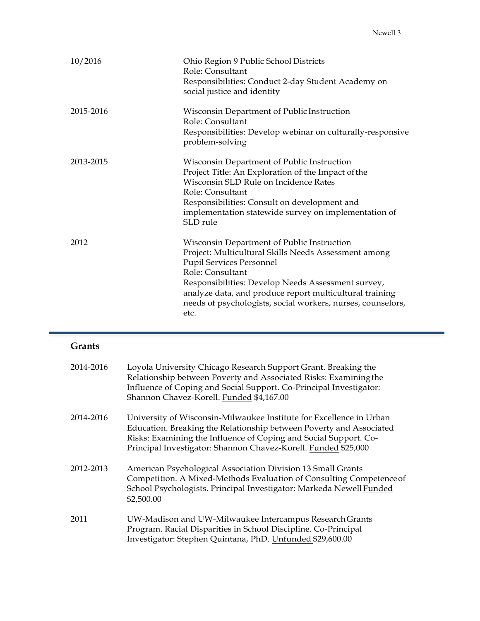| 10/2016   | Ohio Region 9 Public School Districts<br>Role: Consultant<br>Responsibilities: Conduct 2-day Student Academy on<br>social justice and identity                                                                                                                                                                                                    |
|-----------|---------------------------------------------------------------------------------------------------------------------------------------------------------------------------------------------------------------------------------------------------------------------------------------------------------------------------------------------------|
| 2015-2016 | Wisconsin Department of Public Instruction<br>Role: Consultant<br>Responsibilities: Develop webinar on culturally-responsive<br>problem-solving                                                                                                                                                                                                   |
| 2013-2015 | Wisconsin Department of Public Instruction<br>Project Title: An Exploration of the Impact of the<br>Wisconsin SLD Rule on Incidence Rates<br>Role: Consultant<br>Responsibilities: Consult on development and<br>implementation statewide survey on implementation of<br>SLD rule                                                                 |
| 2012      | Wisconsin Department of Public Instruction<br>Project: Multicultural Skills Needs Assessment among<br><b>Pupil Services Personnel</b><br>Role: Consultant<br>Responsibilities: Develop Needs Assessment survey,<br>analyze data, and produce report multicultural training<br>needs of psychologists, social workers, nurses, counselors,<br>etc. |

# **Grants**

| 2014-2016 | Loyola University Chicago Research Support Grant. Breaking the<br>Relationship between Poverty and Associated Risks: Examining the<br>Influence of Coping and Social Support. Co-Principal Investigator:<br>Shannon Chavez-Korell. Funded \$4,167.00                             |
|-----------|----------------------------------------------------------------------------------------------------------------------------------------------------------------------------------------------------------------------------------------------------------------------------------|
| 2014-2016 | University of Wisconsin-Milwaukee Institute for Excellence in Urban<br>Education. Breaking the Relationship between Poverty and Associated<br>Risks: Examining the Influence of Coping and Social Support. Co-<br>Principal Investigator: Shannon Chavez-Korell. Funded \$25,000 |
| 2012-2013 | American Psychological Association Division 13 Small Grants<br>Competition. A Mixed-Methods Evaluation of Consulting Competence of<br>School Psychologists. Principal Investigator: Markeda Newell Funded<br>\$2,500.00                                                          |
| 2011      | UW-Madison and UW-Milwaukee Intercampus Research Grants<br>Program. Racial Disparities in School Discipline. Co-Principal<br>Investigator: Stephen Quintana, PhD. Unfunded \$29,600.00                                                                                           |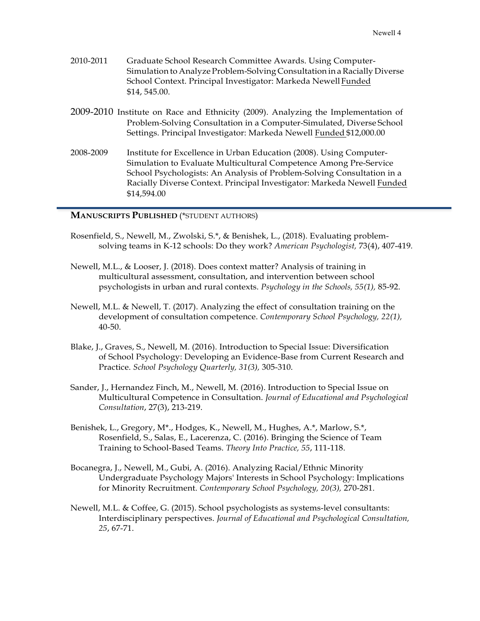- 2010-2011 Graduate School Research Committee Awards. Using Computer-Simulation to Analyze Problem-Solving Consultation in a Racially Diverse School Context. Principal Investigator: Markeda NewellFunded \$14, 545.00.
- 2009-2010 Institute on Race and Ethnicity (2009). Analyzing the Implementation of Problem-Solving Consultation in a Computer-Simulated, Diverse School Settings. Principal Investigator: Markeda Newell Funded \$12,000.00
- 2008-2009 Institute for Excellence in Urban Education (2008). Using Computer-Simulation to Evaluate Multicultural Competence Among Pre-Service School Psychologists: An Analysis of Problem-Solving Consultation in a Racially Diverse Context. Principal Investigator: Markeda Newell Funded \$14,594.00

#### **MANUSCRIPTS PUBLISHED** (\*STUDENT AUTHORS)

- Rosenfield, S., Newell, M., Zwolski, S.\*, & Benishek, L., (2018). Evaluating problemsolving teams in K-12 schools: Do they work? *American Psychologist,* 73(4), 407-419*.*
- Newell, M.L., & Looser, J. (2018). Does context matter? Analysis of training in multicultural assessment, consultation, and intervention between school psychologists in urban and rural contexts. *Psychology in the Schools, 55(1),* 85-92.
- Newell, M.L. & Newell, T. (2017). Analyzing the effect of consultation training on the development of consultation competence. *Contemporary School Psychology, 22(1),*  40-50.
- Blake, J., Graves, S., Newell, M. (2016). Introduction to Special Issue: Diversification of School Psychology: Developing an Evidence-Base from Current Research and Practice. *School Psychology Quarterly, 31(3),* 305-310.
- Sander, J., Hernandez Finch, M., Newell, M. (2016). Introduction to Special Issue on Multicultural Competence in Consultation. *Journal of Educational and Psychological Consultation*, 27(3), 213-219.
- Benishek, L., Gregory, M\*., Hodges, K., Newell, M., Hughes, A.\*, Marlow, S.\*, Rosenfield, S., Salas, E., Lacerenza, C. (2016). Bringing the Science of Team Training to School-Based Teams. *Theory Into Practice, 55*, 111-118.
- Bocanegra, J., Newell, M., Gubi, A. (2016). Analyzing Racial/Ethnic Minority Undergraduate Psychology Majors' Interests in School Psychology: Implications for Minority Recruitment. *Contemporary School Psychology, 20(3),* 270-281.
- Newell, M.L. & Coffee, G. (2015). School psychologists as systems-level consultants: Interdisciplinary perspectives. *Journal of Educational and Psychological Consultation, 25*, 67-71.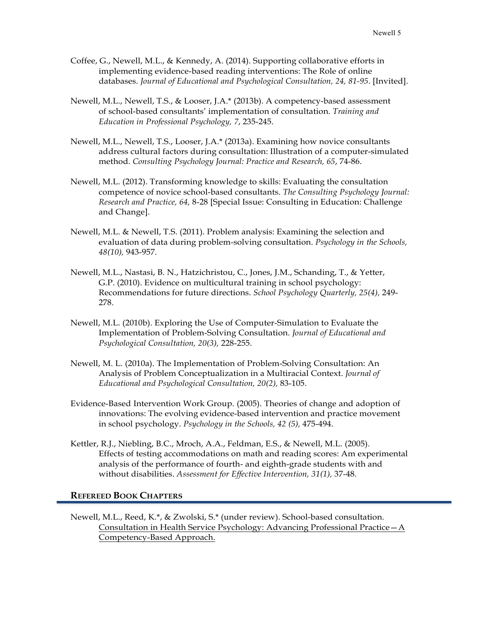- Coffee, G., Newell, M.L., & Kennedy, A. (2014). Supporting collaborative efforts in implementing evidence-based reading interventions: The Role of online databases. *Journal of Educational and Psychological Consultation, 24, 81-95*. [Invited].
- Newell, M.L., Newell, T.S., & Looser, J.A.\* (2013b). A competency-based assessment of school-based consultants' implementation of consultation. *Training and Education in Professional Psychology, 7*, 235-245.
- Newell, M.L., Newell, T.S., Looser, J.A.\* (2013a). Examining how novice consultants address cultural factors during consultation: Illustration of a computer-simulated method. *Consulting Psychology Journal: Practice and Research, 65*, 74-86.
- Newell, M.L. (2012). Transforming knowledge to skills: Evaluating the consultation competence of novice school-based consultants. *The Consulting Psychology Journal: Research and Practice, 64,* 8-28 [Special Issue: Consulting in Education: Challenge and Change].
- Newell, M.L. & Newell, T.S. (2011). Problem analysis: Examining the selection and evaluation of data during problem-solving consultation. *Psychology in the Schools, 48(10),* 943-957.
- Newell, M.L., Nastasi, B. N., Hatzichristou, C., Jones, J.M., Schanding, T., & Yetter, G.P. (2010). Evidence on multicultural training in school psychology: Recommendations for future directions. *School Psychology Quarterly, 25(4),* 249- 278.
- Newell, M.L. (2010b). Exploring the Use of Computer-Simulation to Evaluate the Implementation of Problem-Solving Consultation. *Journal of Educational and Psychological Consultation, 20(3),* 228-255.
- Newell, M. L. (2010a). The Implementation of Problem-Solving Consultation: An Analysis of Problem Conceptualization in a Multiracial Context. *Journal of Educational and Psychological Consultation, 20(2),* 83-105.
- Evidence-Based Intervention Work Group. (2005). Theories of change and adoption of innovations: The evolving evidence-based intervention and practice movement in school psychology. *Psychology in the Schools, 42 (5),* 475-494.
- Kettler, R.J., Niebling, B.C., Mroch, A.A., Feldman, E.S., & Newell, M.L. (2005). Effects of testing accommodations on math and reading scores: Am experimental analysis of the performance of fourth- and eighth-grade students with and without disabilities. *Assessment for Effective Intervention, 31(1),* 37-48.

#### **REFEREED BOOK CHAPTERS**

Newell, M.L., Reed, K.\*, & Zwolski, S.\* (under review). School-based consultation. Consultation in Health Service Psychology: Advancing Professional Practice—A Competency-Based Approach.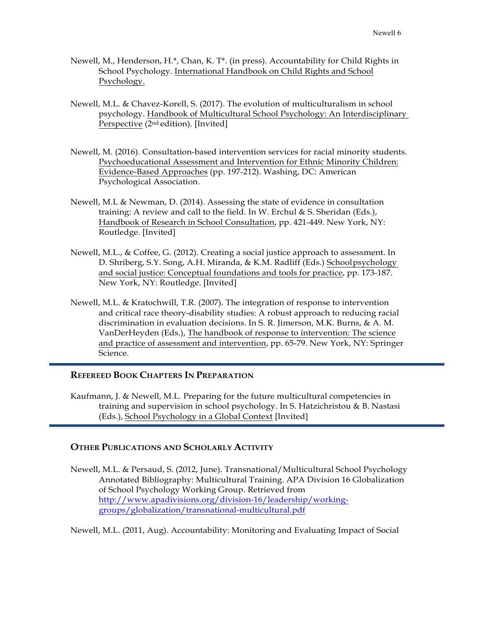- Newell, M., Henderson, H.\*, Chan, K. T\*. (in press). Accountability for Child Rights in School Psychology. International Handbook on Child Rights and School Psychology.
- Newell, M.L. & Chavez-Korell, S. (2017). The evolution of multiculturalism in school psychology. Handbook of Multicultural School Psychology: An Interdisciplinary Perspective (2nd edition). [Invited]
- Newell, M. (2016). Consultation-based intervention services for racial minority students. Psychoeducational Assessment and Intervention for Ethnic Minority Children: Evidence-Based Approaches (pp. 197-212). Washing, DC: American Psychological Association.
- Newell, M.L & Newman, D. (2014). Assessing the state of evidence in consultation training: A review and call to the field. In W. Erchul & S. Sheridan (Eds.), Handbook of Research in School Consultation, pp. 421-449. New York, NY: Routledge. [Invited]
- Newell, M.L., & Coffee, G. (2012). Creating a social justice approach to assessment. In D. Shriberg, S.Y. Song, A.H. Miranda, & K.M. Radliff (Eds.) Schoolpsychology and social justice: Conceptual foundations and tools for practice, pp. 173-187. New York, NY: Routledge. [Invited]
- Newell, M.L. & Kratochwill, T.R. (2007). The integration of response to intervention and critical race theory-disability studies: A robust approach to reducing racial discrimination in evaluation decisions. In S. R. Jimerson, M.K. Burns, & A. M. VanDerHeyden (Eds.), The handbook of response to intervention: The science and practice of assessment and intervention, pp. 65-79. New York, NY: Springer Science.

## **REFEREED BOOK CHAPTERS IN PREPARATION**

Kaufmann, J. & Newell, M.L. Preparing for the future multicultural competencies in training and supervision in school psychology. In S. Hatzichristou & B. Nastasi (Eds.), School Psychology in a Global Context [Invited]

## **OTHER PUBLICATIONS AND SCHOLARLY ACTIVITY**

Newell, M.L. & Persaud, S. (2012, June). Transnational/Multicultural School Psychology Annotated Bibliography: Multicultural Training. APA Division 16 Globalization of School Psychology Working Group. Retrieved from [http://www.apadivisions.org/division-16/leadership/working](http://www.apadivisions.org/division-16/leadership/working-)groups/globalization/transnational-multicultural.pdf

Newell, M.L. (2011, Aug). Accountability: Monitoring and Evaluating Impact of Social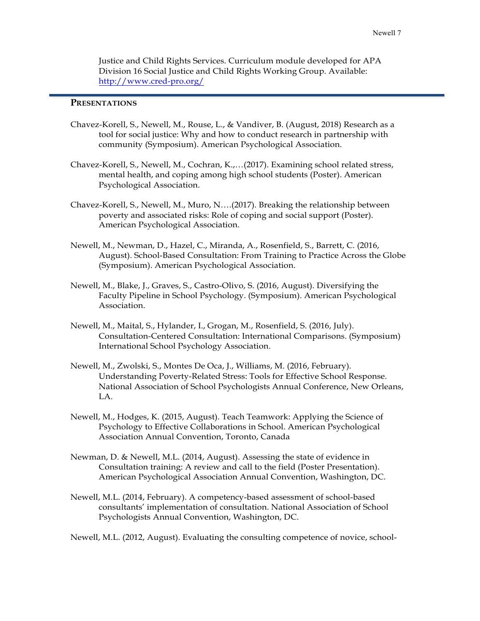Justice and Child Rights Services. Curriculum module developed for APA Division 16 Social Justice and Child Rights Working Group. Available: <http://www.cred-pro.org/>

## **PRESENTATIONS**

- Chavez-Korell, S., Newell, M., Rouse, L., & Vandiver, B. (August, 2018) Research as a tool for social justice: Why and how to conduct research in partnership with community (Symposium). American Psychological Association.
- Chavez-Korell, S., Newell, M., Cochran, K.,…(2017). Examining school related stress, mental health, and coping among high school students (Poster). American Psychological Association.
- Chavez-Korell, S., Newell, M., Muro, N….(2017). Breaking the relationship between poverty and associated risks: Role of coping and social support (Poster). American Psychological Association.
- Newell, M., Newman, D., Hazel, C., Miranda, A., Rosenfield, S., Barrett, C. (2016, August). School-Based Consultation: From Training to Practice Across the Globe (Symposium). American Psychological Association.
- Newell, M., Blake, J., Graves, S., Castro-Olivo, S. (2016, August). Diversifying the Faculty Pipeline in School Psychology. (Symposium). American Psychological Association.
- Newell, M., Maital, S., Hylander, I., Grogan, M., Rosenfield, S. (2016, July). Consultation-Centered Consultation: International Comparisons. (Symposium) International School Psychology Association.
- Newell, M., Zwolski, S., Montes De Oca, J., Williams, M. (2016, February). Understanding Poverty-Related Stress: Tools for Effective School Response. National Association of School Psychologists Annual Conference, New Orleans, LA.
- Newell, M., Hodges, K. (2015, August). Teach Teamwork: Applying the Science of Psychology to Effective Collaborations in School. American Psychological Association Annual Convention, Toronto, Canada
- Newman, D. & Newell, M.L. (2014, August). Assessing the state of evidence in Consultation training: A review and call to the field (Poster Presentation). American Psychological Association Annual Convention, Washington, DC.
- Newell, M.L. (2014, February). A competency-based assessment of school-based consultants' implementation of consultation. National Association of School Psychologists Annual Convention, Washington, DC.

Newell, M.L. (2012, August). Evaluating the consulting competence of novice, school-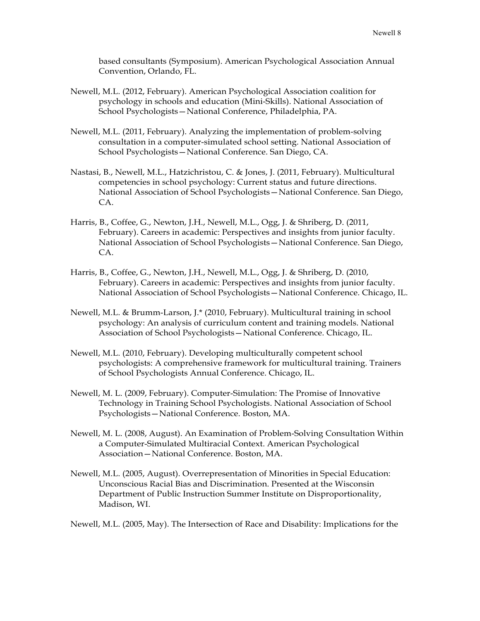based consultants (Symposium). American Psychological Association Annual Convention, Orlando, FL.

- Newell, M.L. (2012, February). American Psychological Association coalition for psychology in schools and education (Mini-Skills). National Association of School Psychologists—National Conference, Philadelphia, PA.
- Newell, M.L. (2011, February). Analyzing the implementation of problem-solving consultation in a computer-simulated school setting. National Association of School Psychologists—National Conference. San Diego, CA.
- Nastasi, B., Newell, M.L., Hatzichristou, C. & Jones, J. (2011, February). Multicultural competencies in school psychology: Current status and future directions. National Association of School Psychologists—National Conference. San Diego, CA.
- Harris, B., Coffee, G., Newton, J.H., Newell, M.L., Ogg, J. & Shriberg, D. (2011, February). Careers in academic: Perspectives and insights from junior faculty. National Association of School Psychologists—National Conference. San Diego, CA.
- Harris, B., Coffee, G., Newton, J.H., Newell, M.L., Ogg, J. & Shriberg, D. (2010, February). Careers in academic: Perspectives and insights from junior faculty. National Association of School Psychologists—National Conference. Chicago, IL.
- Newell, M.L. & Brumm-Larson, J.\* (2010, February). Multicultural training in school psychology: An analysis of curriculum content and training models. National Association of School Psychologists—National Conference. Chicago, IL.
- Newell, M.L. (2010, February). Developing multiculturally competent school psychologists: A comprehensive framework for multicultural training. Trainers of School Psychologists Annual Conference. Chicago, IL.
- Newell, M. L. (2009, February). Computer-Simulation: The Promise of Innovative Technology in Training School Psychologists. National Association of School Psychologists—National Conference. Boston, MA.
- Newell, M. L. (2008, August). An Examination of Problem-Solving Consultation Within a Computer-Simulated Multiracial Context. American Psychological Association—National Conference. Boston, MA.
- Newell, M.L. (2005, August). Overrepresentation of Minorities in Special Education: Unconscious Racial Bias and Discrimination. Presented at the Wisconsin Department of Public Instruction Summer Institute on Disproportionality, Madison, WI.

Newell, M.L. (2005, May). The Intersection of Race and Disability: Implications for the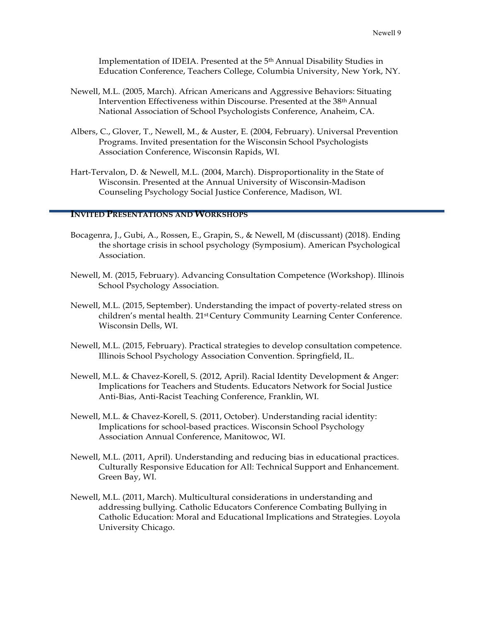Implementation of IDEIA. Presented at the 5th Annual Disability Studies in Education Conference, Teachers College, Columbia University, New York, NY.

- Newell, M.L. (2005, March). African Americans and Aggressive Behaviors: Situating Intervention Effectiveness within Discourse. Presented at the 38th Annual National Association of School Psychologists Conference, Anaheim, CA.
- Albers, C., Glover, T., Newell, M., & Auster, E. (2004, February). Universal Prevention Programs. Invited presentation for the Wisconsin School Psychologists Association Conference, Wisconsin Rapids, WI.
- Hart-Tervalon, D. & Newell, M.L. (2004, March). Disproportionality in the State of Wisconsin. Presented at the Annual University of Wisconsin-Madison Counseling Psychology Social Justice Conference, Madison, WI.

#### **INVITED PRESENTATIONS AND WORKSHOPS**

- Bocagenra, J., Gubi, A., Rossen, E., Grapin, S., & Newell, M (discussant) (2018). Ending the shortage crisis in school psychology (Symposium). American Psychological Association.
- Newell, M. (2015, February). Advancing Consultation Competence (Workshop). Illinois School Psychology Association.
- Newell, M.L. (2015, September). Understanding the impact of poverty-related stress on children's mental health. 21<sup>st</sup>Century Community Learning Center Conference. Wisconsin Dells, WI.
- Newell, M.L. (2015, February). Practical strategies to develop consultation competence. Illinois School Psychology Association Convention. Springfield, IL.
- Newell, M.L. & Chavez-Korell, S. (2012, April). Racial Identity Development & Anger: Implications for Teachers and Students. Educators Network for Social Justice Anti-Bias, Anti-Racist Teaching Conference, Franklin, WI.
- Newell, M.L. & Chavez-Korell, S. (2011, October). Understanding racial identity: Implications for school-based practices. Wisconsin School Psychology Association Annual Conference, Manitowoc, WI.
- Newell, M.L. (2011, April). Understanding and reducing bias in educational practices. Culturally Responsive Education for All: Technical Support and Enhancement. Green Bay, WI.
- Newell, M.L. (2011, March). Multicultural considerations in understanding and addressing bullying. Catholic Educators Conference Combating Bullying in Catholic Education: Moral and Educational Implications and Strategies. Loyola University Chicago.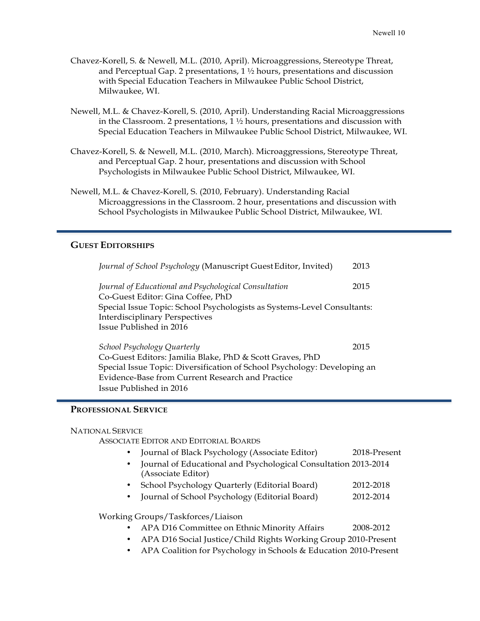- Chavez-Korell, S. & Newell, M.L. (2010, April). Microaggressions, Stereotype Threat, and Perceptual Gap. 2 presentations,  $1\frac{1}{2}$  hours, presentations and discussion with Special Education Teachers in Milwaukee Public School District, Milwaukee, WI.
- Newell, M.L. & Chavez-Korell, S. (2010, April). Understanding Racial Microaggressions in the Classroom. 2 presentations,  $1 \frac{1}{2}$  hours, presentations and discussion with Special Education Teachers in Milwaukee Public School District, Milwaukee, WI.
- Chavez-Korell, S. & Newell, M.L. (2010, March). Microaggressions, Stereotype Threat, and Perceptual Gap. 2 hour, presentations and discussion with School Psychologists in Milwaukee Public School District, Milwaukee, WI.
- Newell, M.L. & Chavez-Korell, S. (2010, February). Understanding Racial Microaggressions in the Classroom. 2 hour, presentations and discussion with School Psychologists in Milwaukee Public School District, Milwaukee, WI.

## **GUEST EDITORSHIPS**

| Journal of School Psychology (Manuscript Guest Editor, Invited)          | 2013 |
|--------------------------------------------------------------------------|------|
| Journal of Educational and Psychological Consultation                    | 2015 |
| Co-Guest Editor: Gina Coffee, PhD                                        |      |
| Special Issue Topic: School Psychologists as Systems-Level Consultants:  |      |
| <b>Interdisciplinary Perspectives</b>                                    |      |
| Issue Published in 2016                                                  |      |
| School Psychology Quarterly                                              | 2015 |
| Co-Guest Editors: Jamilia Blake, PhD & Scott Graves, PhD                 |      |
| Special Issue Topic: Diversification of School Psychology: Developing an |      |
| Evidence-Base from Current Research and Practice                         |      |
| Issue Published in 2016                                                  |      |

#### **PROFESSIONAL SERVICE**

#### NATIONAL SERVICE

ASSOCIATE EDITOR AND EDITORIAL BOARDS

- Journal of Black Psychology (Associate Editor) 2018-Present
- Journal of Educational and Psychological Consultation 2013-2014 (Associate Editor)
- School Psychology Quarterly (Editorial Board) 2012-2018
- Journal of School Psychology (Editorial Board) 2012-2014

#### Working Groups/Taskforces/Liaison

- APA D16 Committee on Ethnic Minority Affairs 2008-2012
- APA D16 Social Justice/Child Rights Working Group 2010-Present
- APA Coalition for Psychology in Schools & Education 2010-Present